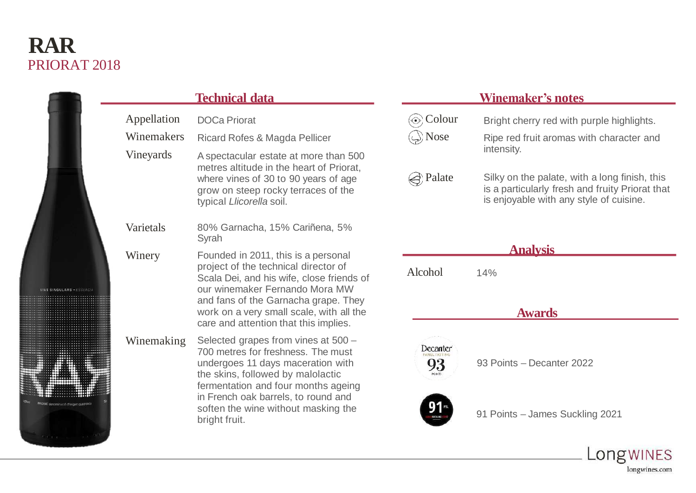# PRIORAT 2018 **RAR**

| 医皮肤性 医皮肤性 医心脏性 医心脏 医心脏 医心脏<br>法法法法法法 医血压性的 医血管的 医血管的 医单位的 医囊膜 医单位的<br>医皮肤病 医血管切除术 医血管切除术 医血管切除术 医血管切除术 医血管切除术<br>$-$<br>i | U<br>(1) コントラン ファンドマネス インター・カード アーティー・エー エル (の) (の)<br>,我们就会在这里,我们的时候,我们就会在这里,我们的时候,我们就会在这里,我们的时候,我们也不会在这里,我们也不会在这里,我们也不会在这里,我们也不会在这里,我 | l<br>i<br>:<br>l | マチチュウ コマクチナシャクショク クラスカ そうき 事情 理解機 エクストル<br>i<br>l<br>l | 计计算 医中华分泌素 医血管 医血管血管 医白血素 医异体性 医多种 医二甲基二甲基 医血管静脉<br>的复数法国家 医耳朵 使的名词复数形式 医生化学 医血管血清 医神经细胞 医单位的 医单位<br>l | <b>各年的国家中的西北区的国家中的西北部的西北部的西南部的西北部的</b><br>大学のことをいうことができる あいしょう アイ・ファイン アイ・ファイン アイ・ディー・アクセス<br>法法律法律 医中央反应 化双极性化 化双极 医心理学 医囊囊 医单囊囊炎 计<br><b>本来学者学校学生是日本文学家学生的学生,2018年11月,中国新华的学校学校。</b><br><br><br><b>.</b><br>.<br>l<br><br>l |
|---------------------------------------------------------------------------------------------------------------------------|-----------------------------------------------------------------------------------------------------------------------------------------|------------------|--------------------------------------------------------|--------------------------------------------------------------------------------------------------------|-------------------------------------------------------------------------------------------------------------------------------------------------------------------------------------------------------------------------------|
|                                                                                                                           | ORAT                                                                                                                                    | d                |                                                        | o.<br><b>EART</b>                                                                                      |                                                                                                                                                                                                                               |

## **Technical data**

- Appellation Winemakers Vineyards DOCa Priorat Ricard Rofes & Magda Pellicer A spectacular estate at more than 500 metres altitude in the heart of Priorat, where vines of 30 to 90 years of age grow on steep rocky terraces of the typical *Llicorella* soil.
- Varietals 80% Garnacha, 15% Cariñena, 5% Syrah
- Winery Founded in 2011, this is a personal project of the technical director of Scala Dei, and his wife, close friends of our winemaker Fernando Mora MW and fans of the Garnacha grape. They work on a very small scale, with all the care and attention that this implies.

Winemaking Selected grapes from vines at 500 – 700 metres for freshness. The must undergoes 11 days maceration with the skins, followed by malolactic fermentation and four months ageing in French oak barrels, to round and soften the wine without masking the bright fruit.

### **Winemaker's notes**

**⊙ Colour** Bright cherry red with purple highlights. Nose Ripe red fruit aromas with character and intensity. e) Palate Silky on the palate, with a long finish, this is a particularly fresh and fruity Priorat that is enjoyable with any style of cuisine. **Analysis** Alcohol 14% **Awards Decanter** 93 93 Points – Decanter 202291 Points – James Suckling 2021